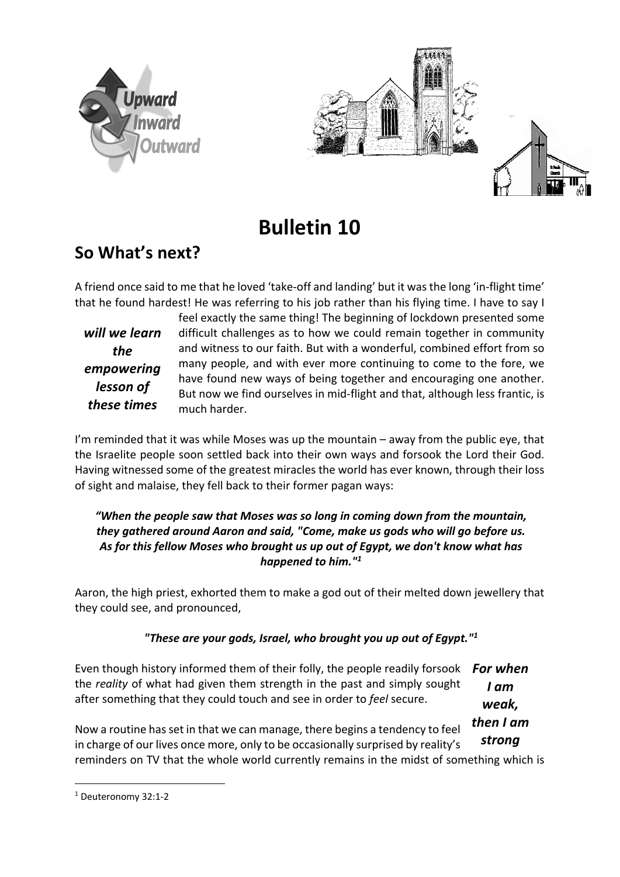



# **Bulletin 10**

# **So What's next?**

A friend once said to me that he loved 'take-off and landing' but it was the long 'in-flight time' that he found hardest! He was referring to his job rather than his flying time. I have to say I

*will we learn the empowering lesson of these times*

feel exactly the same thing! The beginning of lockdown presented some difficult challenges as to how we could remain together in community and witness to our faith. But with a wonderful, combined effort from so many people, and with ever more continuing to come to the fore, we have found new ways of being together and encouraging one another. But now we find ourselves in mid-flight and that, although less frantic, is much harder.

I'm reminded that it was while Moses was up the mountain – away from the public eye, that the Israelite people soon settled back into their own ways and forsook the Lord their God. Having witnessed some of the greatest miracles the world has ever known, through their loss of sight and malaise, they fell back to their former pagan ways:

### *"When the people saw that Moses was so long in coming down from the mountain, they gathered around Aaron and said, "Come, make us gods who will go before us. As for this fellow Moses who brought us up out of Egypt, we don't know what has happened to him."1*

Aaron, the high priest, exhorted them to make a god out of their melted down jewellery that they could see, and pronounced,

# *"These are your gods, Israel, who brought you up out of Egypt."1*

Even though history informed them of their folly, the people readily forsook the *reality* of what had given them strength in the past and simply sought after something that they could touch and see in order to *feel* secure. *For when I am* 

*weak,* 

Now a routine has set in that we can manage, there begins a tendency to feel in charge of our lives once more, only to be occasionally surprised by reality's reminders on TV that the whole world currently remains in the midst of something which is *then I am strong*

<sup>1</sup> Deuteronomy 32:1-2